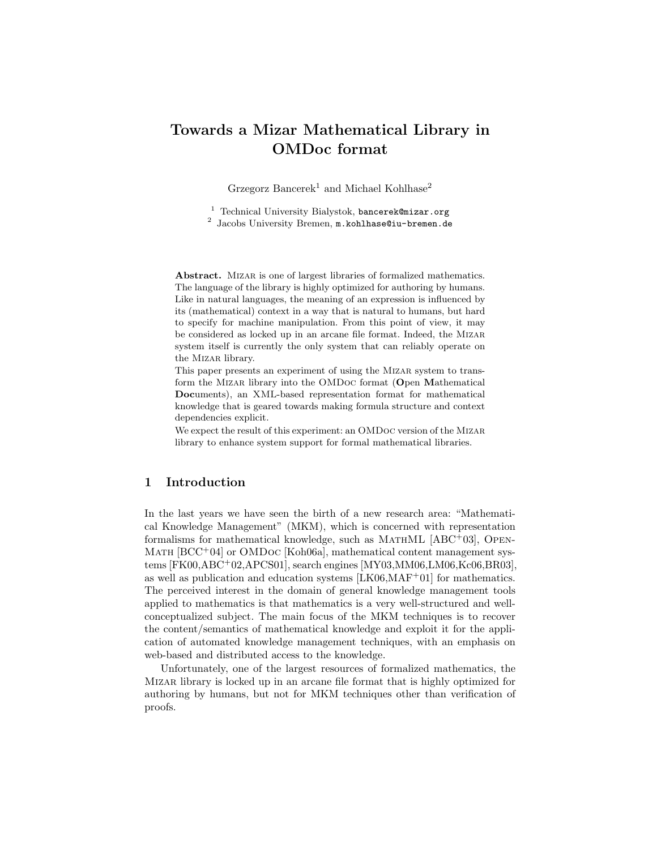# Towards a Mizar Mathematical Library in OMDoc format

Grzegorz Bancerek<sup>1</sup> and Michael Kohlhase<sup>2</sup>

<sup>1</sup> Technical University Bialystok, bancerek@mizar.org

 $2$  Jacobs University Bremen,  $m.kohlbase@iu-bremen.de$ 

Abstract. MIZAR is one of largest libraries of formalized mathematics. The language of the library is highly optimized for authoring by humans. Like in natural languages, the meaning of an expression is influenced by its (mathematical) context in a way that is natural to humans, but hard to specify for machine manipulation. From this point of view, it may be considered as locked up in an arcane file format. Indeed, the Mizar system itself is currently the only system that can reliably operate on the Mizar library.

This paper presents an experiment of using the MIZAR system to transform the Mizar library into the OMDoc format (Open Mathematical Documents), an XML-based representation format for mathematical knowledge that is geared towards making formula structure and context dependencies explicit.

We expect the result of this experiment: an OMDoc version of the Mizar library to enhance system support for formal mathematical libraries.

## 1 Introduction

In the last years we have seen the birth of a new research area: "Mathematical Knowledge Management" (MKM), which is concerned with representation formalisms for mathematical knowledge, such as MATHML  $[ABC^+03]$ , OPEN-MATH  $[BCC^+04]$  or OMDoc  $[Koh06a]$ , mathematical content management systems [FK00,ABC+02,APCS01], search engines [MY03,MM06,LM06,Kc06,BR03], as well as publication and education systems [LK06,MAF<sup>+</sup>01] for mathematics. The perceived interest in the domain of general knowledge management tools applied to mathematics is that mathematics is a very well-structured and wellconceptualized subject. The main focus of the MKM techniques is to recover the content/semantics of mathematical knowledge and exploit it for the application of automated knowledge management techniques, with an emphasis on web-based and distributed access to the knowledge.

Unfortunately, one of the largest resources of formalized mathematics, the Mizar library is locked up in an arcane file format that is highly optimized for authoring by humans, but not for MKM techniques other than verification of proofs.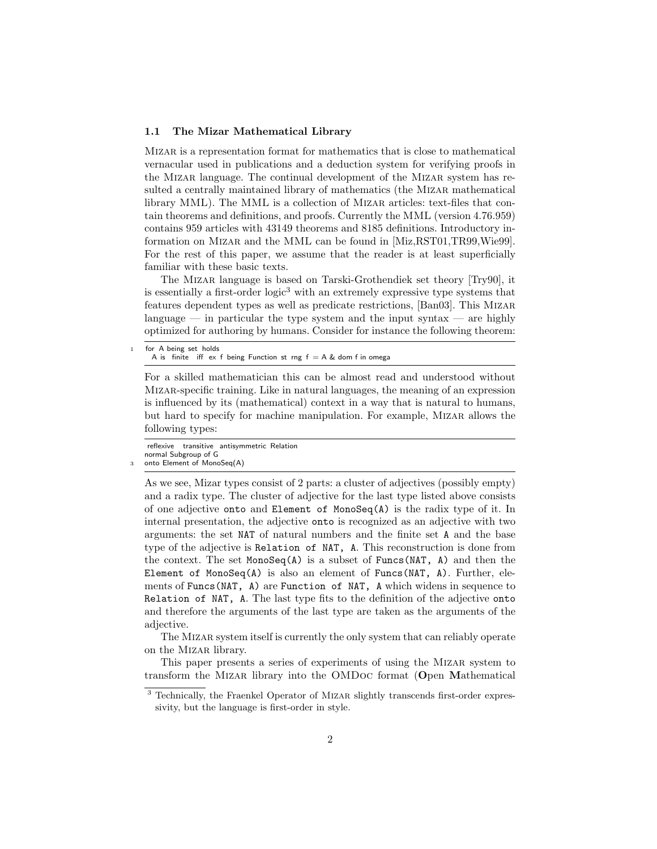#### 1.1 The Mizar Mathematical Library

Mizar is a representation format for mathematics that is close to mathematical vernacular used in publications and a deduction system for verifying proofs in the Mizar language. The continual development of the Mizar system has resulted a centrally maintained library of mathematics (the Mizar mathematical library MML). The MML is a collection of Mizar articles: text-files that contain theorems and definitions, and proofs. Currently the MML (version 4.76.959) contains 959 articles with 43149 theorems and 8185 definitions. Introductory information on Mizar and the MML can be found in [Miz,RST01,TR99,Wie99]. For the rest of this paper, we assume that the reader is at least superficially familiar with these basic texts.

The Mizar language is based on Tarski-Grothendiek set theory [Try90], it is essentially a first-order logic<sup>3</sup> with an extremely expressive type systems that features dependent types as well as predicate restrictions, [Ban03]. This Mizar language — in particular the type system and the input syntax — are highly optimized for authoring by humans. Consider for instance the following theorem:

```
for A being set holds
 A is finite iff ex f being Function st rng f = A \& dom f in omega
```
For a skilled mathematician this can be almost read and understood without Mizar-specific training. Like in natural languages, the meaning of an expression is influenced by its (mathematical) context in a way that is natural to humans, but hard to specify for machine manipulation. For example, Mizar allows the following types:

```
reflexive transitive antisymmetric Relation
normal Subgroup of G
onto Element of MonoSeq(A)
```
As we see, Mizar types consist of 2 parts: a cluster of adjectives (possibly empty) and a radix type. The cluster of adjective for the last type listed above consists of one adjective onto and Element of MonoSeq $(A)$  is the radix type of it. In internal presentation, the adjective onto is recognized as an adjective with two arguments: the set NAT of natural numbers and the finite set A and the base type of the adjective is Relation of NAT, A. This reconstruction is done from the context. The set  $MonoSeq(A)$  is a subset of Funcs (NAT, A) and then the Element of MonoSeq(A) is also an element of Funcs(NAT, A). Further, elements of Funcs(NAT, A) are Function of NAT, A which widens in sequence to Relation of NAT, A. The last type fits to the definition of the adjective onto and therefore the arguments of the last type are taken as the arguments of the adjective.

The Mizar system itself is currently the only system that can reliably operate on the Mizar library.

This paper presents a series of experiments of using the Mizar system to transform the Mizar library into the OMDoc format (Open Mathematical

<sup>&</sup>lt;sup>3</sup> Technically, the Fraenkel Operator of MIZAR slightly transcends first-order expressivity, but the language is first-order in style.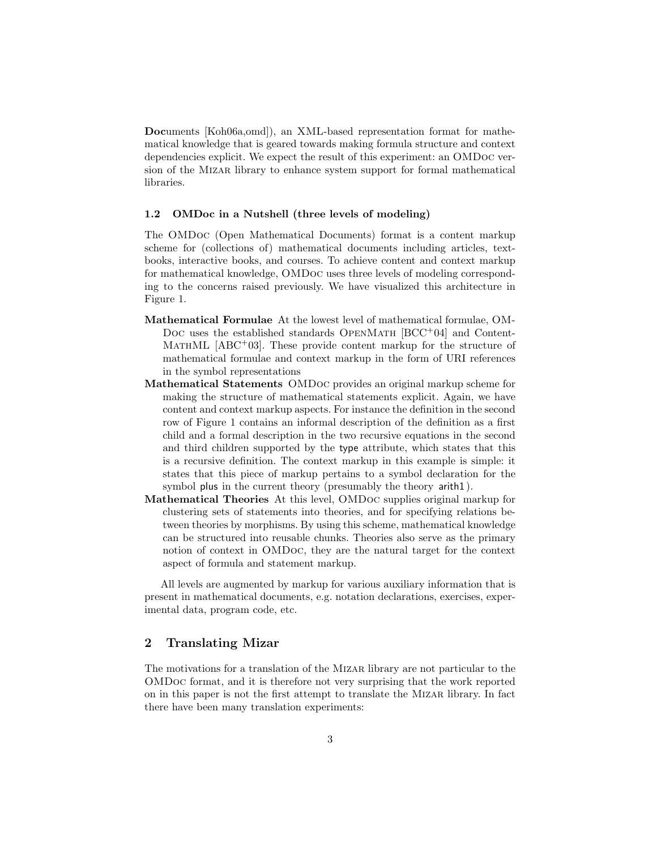Documents [Koh06a,omd]), an XML-based representation format for mathematical knowledge that is geared towards making formula structure and context dependencies explicit. We expect the result of this experiment: an OMDoc version of the Mizar library to enhance system support for formal mathematical libraries.

#### 1.2 OMDoc in a Nutshell (three levels of modeling)

The OMDoc (Open Mathematical Documents) format is a content markup scheme for (collections of) mathematical documents including articles, textbooks, interactive books, and courses. To achieve content and context markup for mathematical knowledge, OMDoc uses three levels of modeling corresponding to the concerns raised previously. We have visualized this architecture in Figure 1.

- Mathematical Formulae At the lowest level of mathematical formulae, OM-Doc uses the established standards OPENMATH  $[BCC^+04]$  and Content-MATHML  $[ABC^+03]$ . These provide content markup for the structure of mathematical formulae and context markup in the form of URI references in the symbol representations
- Mathematical Statements OMDoc provides an original markup scheme for making the structure of mathematical statements explicit. Again, we have content and context markup aspects. For instance the definition in the second row of Figure 1 contains an informal description of the definition as a first child and a formal description in the two recursive equations in the second and third children supported by the type attribute, which states that this is a recursive definition. The context markup in this example is simple: it states that this piece of markup pertains to a symbol declaration for the symbol plus in the current theory (presumably the theory arith1 ).
- Mathematical Theories At this level, OMDoc supplies original markup for clustering sets of statements into theories, and for specifying relations between theories by morphisms. By using this scheme, mathematical knowledge can be structured into reusable chunks. Theories also serve as the primary notion of context in OMDoc, they are the natural target for the context aspect of formula and statement markup.

All levels are augmented by markup for various auxiliary information that is present in mathematical documents, e.g. notation declarations, exercises, experimental data, program code, etc.

## 2 Translating Mizar

The motivations for a translation of the Mizar library are not particular to the OMDoc format, and it is therefore not very surprising that the work reported on in this paper is not the first attempt to translate the Mizar library. In fact there have been many translation experiments: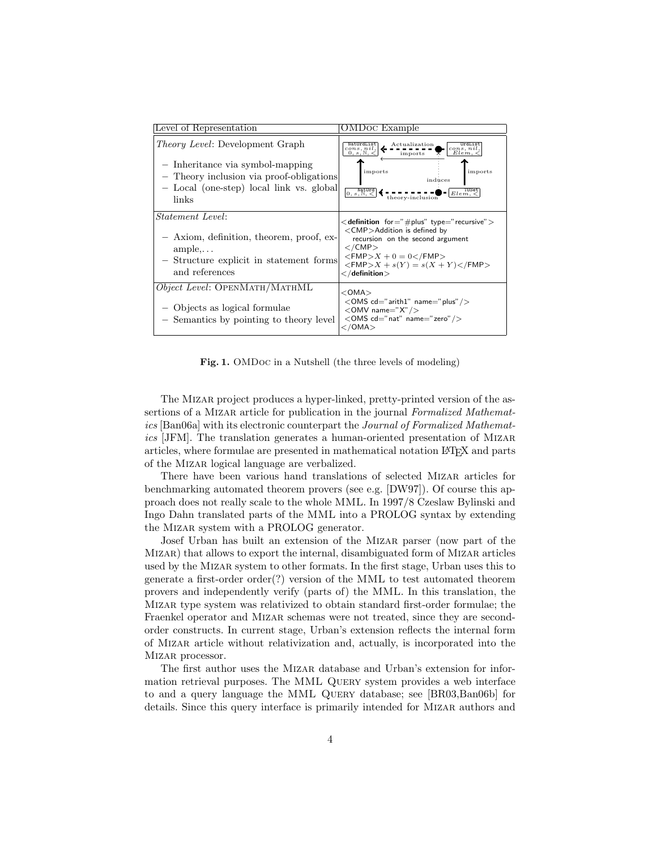| Level of Representation                                                                                                                                                     | OMDoc Example                                                                                                                                                                                                                                                                                              |
|-----------------------------------------------------------------------------------------------------------------------------------------------------------------------------|------------------------------------------------------------------------------------------------------------------------------------------------------------------------------------------------------------------------------------------------------------------------------------------------------------|
| <i>Theory Level:</i> Development Graph<br>- Inheritance via symbol-mapping<br>- Theory inclusion via proof-obligations<br>- Local (one-step) local link vs. global<br>links | Actualization<br>cons, nil,<br>$\frac{cons}{Elem}$ , <<br><u>.</u><br>$0, s, \mathbb{N}$<br>imports<br>imports<br>imports<br>induces<br>$\overline{0, s, \mathbb{N}},$<br>Elem, <sub>0</sub><br>theory-inclusion                                                                                           |
| <i>Statement Level:</i><br>- Axiom, definition, theorem, proof, ex-<br>$ample, \ldots$<br>- Structure explicit in statement forms<br>and references                         | $\lt$ definition for $=$ "#plus" type $=$ "recursive" $>$<br>$\langle$ CMP $>$ Addition is defined by<br>recursion on the second argument<br>$\langle$ /CMP $>$<br>$<$ FMP $>$ X + 0 = 0 $<$ /FMP $>$<br>$\langle$ FMP $> X + s(Y) = s(X + Y)\langle$ /FMP $>$<br>$\mathord{<} /$ definition $\mathord{>}$ |
| <i>Object Level:</i> OPENMATH/MATHML<br>- Objects as logical formulae<br>- Semantics by pointing to theory level                                                            | $<$ OMA $>$<br>$<$ OMS cd="arith1" name="plus" / $>$<br>$\langle$ OMV name="X" / $>$<br><oms cd="nat" name="zero"></oms><br>$\langle$ /OMA $>$                                                                                                                                                             |

Fig. 1. OMDoc in a Nutshell (the three levels of modeling)

The Mizar project produces a hyper-linked, pretty-printed version of the assertions of a MIZAR article for publication in the journal Formalized Mathematics [Ban06a] with its electronic counterpart the Journal of Formalized Mathematics [JFM]. The translation generates a human-oriented presentation of Mizar articles, where formulae are presented in mathematical notation LATEX and parts of the Mizar logical language are verbalized.

There have been various hand translations of selected Mizar articles for benchmarking automated theorem provers (see e.g. [DW97]). Of course this approach does not really scale to the whole MML. In 1997/8 Czeslaw Bylinski and Ingo Dahn translated parts of the MML into a PROLOG syntax by extending the Mizar system with a PROLOG generator.

Josef Urban has built an extension of the Mizar parser (now part of the Mizar) that allows to export the internal, disambiguated form of Mizar articles used by the Mizar system to other formats. In the first stage, Urban uses this to generate a first-order order(?) version of the MML to test automated theorem provers and independently verify (parts of) the MML. In this translation, the Mizar type system was relativized to obtain standard first-order formulae; the Fraenkel operator and Mizar schemas were not treated, since they are secondorder constructs. In current stage, Urban's extension reflects the internal form of Mizar article without relativization and, actually, is incorporated into the Mizar processor.

The first author uses the Mizar database and Urban's extension for information retrieval purposes. The MML Query system provides a web interface to and a query language the MML Query database; see [BR03,Ban06b] for details. Since this query interface is primarily intended for Mizar authors and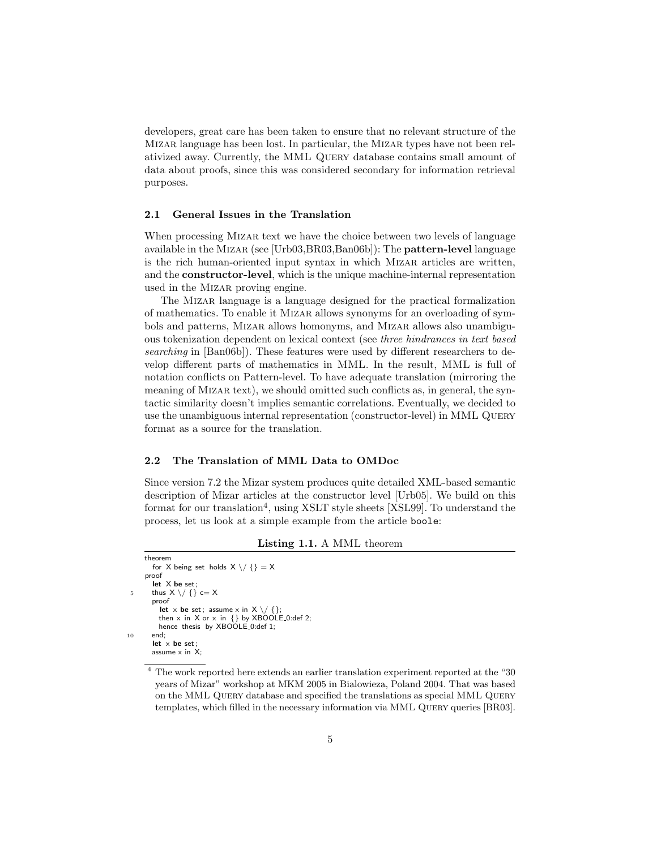developers, great care has been taken to ensure that no relevant structure of the Mizar language has been lost. In particular, the Mizar types have not been relativized away. Currently, the MML Query database contains small amount of data about proofs, since this was considered secondary for information retrieval purposes.

#### 2.1 General Issues in the Translation

When processing MIZAR text we have the choice between two levels of language available in the Mizar (see [Urb03,BR03,Ban06b]): The pattern-level language is the rich human-oriented input syntax in which Mizar articles are written, and the constructor-level, which is the unique machine-internal representation used in the Mizar proving engine.

The Mizar language is a language designed for the practical formalization of mathematics. To enable it Mizar allows synonyms for an overloading of symbols and patterns, Mizar allows homonyms, and Mizar allows also unambiguous tokenization dependent on lexical context (see three hindrances in text based searching in [Ban06b]). These features were used by different researchers to develop different parts of mathematics in MML. In the result, MML is full of notation conflicts on Pattern-level. To have adequate translation (mirroring the meaning of Mizar text), we should omitted such conflicts as, in general, the syntactic similarity doesn't implies semantic correlations. Eventually, we decided to use the unambiguous internal representation (constructor-level) in MML Query format as a source for the translation.

#### 2.2 The Translation of MML Data to OMDoc

Since version 7.2 the Mizar system produces quite detailed XML-based semantic description of Mizar articles at the constructor level [Urb05]. We build on this format for our translation<sup>4</sup>, using XSLT style sheets [XSL99]. To understand the process, let us look at a simple example from the article boole:

Listing 1.1. A MML theorem

```
theorem
       for X being set holds X \setminus / \{\} = Xproof
       let X be set;
5 thus X \setminus \diagup \{ \} c= X
       proof
          let x be set; assume x in X \setminus \{ \};
         then x in X or x in \{\} by XBOOLE_0:def 2;hence thesis by XBOOLE_0:def 1;
10 end;
        let \times be set
       assume \times in X:
```
<sup>4</sup> The work reported here extends an earlier translation experiment reported at the "30 years of Mizar" workshop at MKM 2005 in Bialowieza, Poland 2004. That was based on the MML Query database and specified the translations as special MML Query templates, which filled in the necessary information via MML QUERY queries [BR03].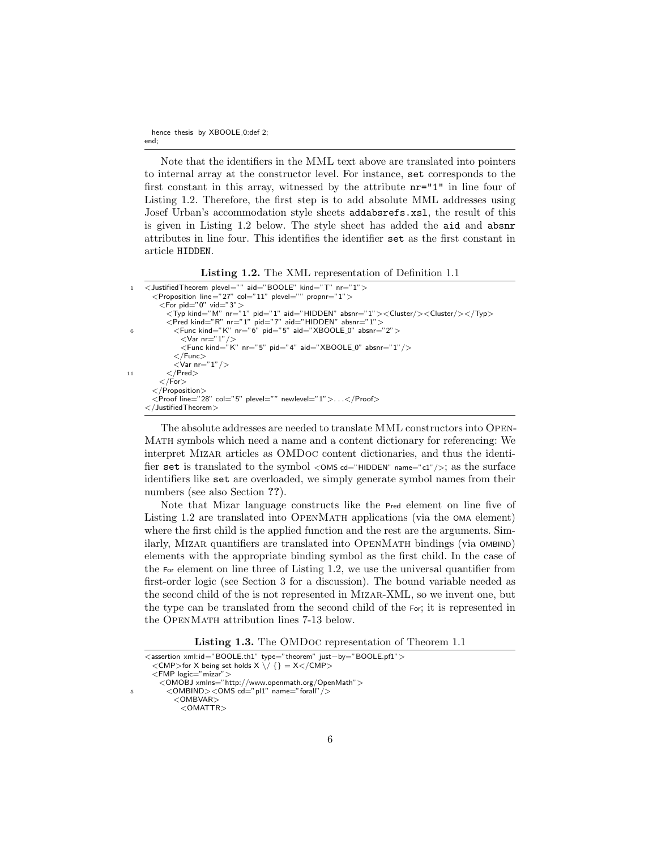Note that the identifiers in the MML text above are translated into pointers to internal array at the constructor level. For instance, set corresponds to the first constant in this array, witnessed by the attribute nr="1" in line four of Listing 1.2. Therefore, the first step is to add absolute MML addresses using Josef Urban's accommodation style sheets addabsrefs.xsl, the result of this is given in Listing 1.2 below. The style sheet has added the aid and absnr attributes in line four. This identifies the identifier set as the first constant in article HIDDEN.

Listing 1.2. The XML representation of Definition 1.1

```
1 <JustifiedTheorem plevel="" aid="BOOLE" kind="T" nr="1">
       <Proposition line ="27" col="11" plevel="" propnr="1" >
         < For pid="0" vid="3" >
            <Typ kind="M" nr="1" pid="1" aid="HIDDEN" absnr="1"><Cluster/><Cluster/>er/>></Typ>
 <Pred kind="R" nr="1" pid="7" aid="HIDDEN" absnr="1">
6 <Func kind="K" nr="6" pid="5" aid="XBOOLE 0" absnr="2">
                <Var nr="1"
                <Func kind="K" nr="5" pid="4" aid="XBOOLE 0" absnr="1"/>
              \langleFunc\rangle<Var nr="1" />11 </Pred>
          \mathord{<} / For >\mathopen{<}/Proposition\mathclose{>}<Proof line="28" col="5" plevel="" newlevel="1">. . .</Proof>
     \langle JustifiedTheorem>
```
The absolute addresses are needed to translate MML constructors into Open-Math symbols which need a name and a content dictionary for referencing: We interpret Mizar articles as OMDoc content dictionaries, and thus the identifier set is translated to the symbol  $\langle$  OMS cd="HIDDEN" name="c1"/ $\rangle$ ; as the surface identifiers like set are overloaded, we simply generate symbol names from their numbers (see also Section ??).

Note that Mizar language constructs like the Pred element on line five of Listing 1.2 are translated into OPENMATH applications (via the OMA element) where the first child is the applied function and the rest are the arguments. Similarly, MIZAR quantifiers are translated into OPENMATH bindings (via OMBIND) elements with the appropriate binding symbol as the first child. In the case of the For element on line three of Listing 1.2, we use the universal quantifier from first-order logic (see Section 3 for a discussion). The bound variable needed as the second child of the is not represented in Mizar-XML, so we invent one, but the type can be translated from the second child of the For; it is represented in the OPENMATH attribution lines 7-13 below.

Listing 1.3. The OMDoc representation of Theorem 1.1

|    | $\leq$ assertion xml: id="BOOLE.th1" type="theorem" just-by="BOOLE.pf1" $>$ |  |
|----|-----------------------------------------------------------------------------|--|
|    | $\langle$ CMP>for X being set holds X \/ {} = X $\langle$ /CMP>             |  |
|    | $\leq$ FMP logic="mizar" $>$                                                |  |
|    | <omobj xmlns="http://www.openmath.org/OpenMath"></omobj>                    |  |
| 5. | $\langle$ OMBIND $>\langle$ OMS cd="pl1" name="forall" / $>$                |  |
|    | $<$ OMBVAR $>$                                                              |  |
|    | $<$ OMATTR $>$                                                              |  |
|    |                                                                             |  |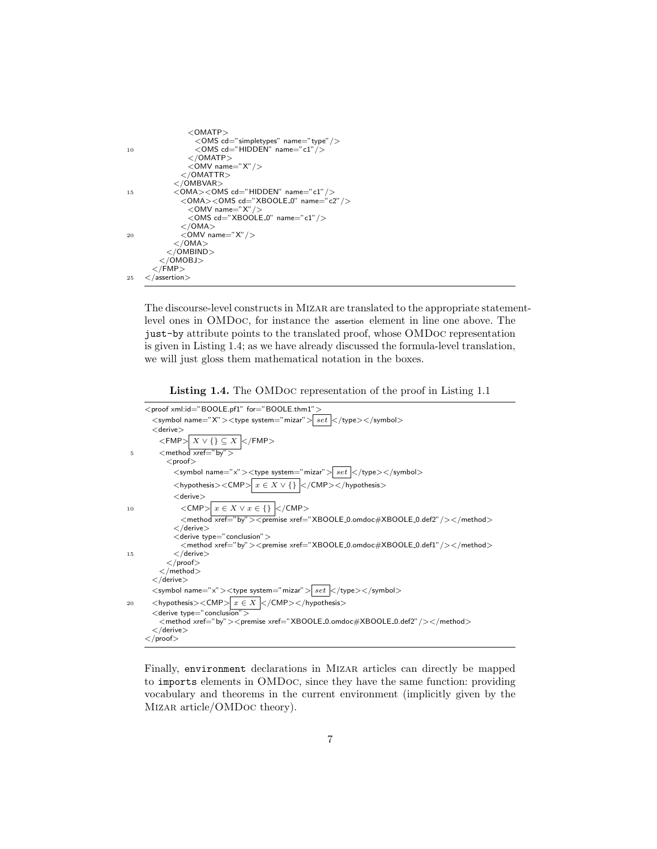```
<OMATP><OMS cd="simpletypes" name="type"/>
10 < OMS cd="HIDDEN" name="c1"/>
            </OMATP><OMV name="X"/>
           </OMATTR>
         </ÓMBVAR>15 < OMA><OMS cd="HIDDEN" name="c1" />
           <OMA><OMS cd="XBOOLE_0" name="c2"/>\langle OMV name="X"
            <OMS cd="XBOOLE_0" name="c1"/></OMA>20 <OMV name="X" />
         </OMA></0MBIND></OMOBJ>
     </FMP>25 </assertion>
```
The discourse-level constructs in Mizar are translated to the appropriate statementlevel ones in OMDoc, for instance the assertion element in line one above. The just-by attribute points to the translated proof, whose OMDoc representation is given in Listing 1.4; as we have already discussed the formula-level translation, we will just gloss them mathematical notation in the boxes.

Listing 1.4. The OMDoc representation of the proof in Listing 1.1

```
<proof xml:id="BOOLE.pf1" for="BOOLE.thm1">
       \langle symbol name="X">\langletype system="mizar">\langleset \langle/type>\langle/symbol>
       <derive>\langleFMP>\boxed{X \vee \{\}\subseteq X}\langle/FMP>5 <method xref="by">
            <proof>\langle <symbol name="x">\langletype system="mizar">\langleset |\langle/type>\langle/symbol><hypothesis><CMP>x \in X \vee \{\} </CMP></hypothesis>
              <derive>10 \langle \text{CMP}\rangle \mid x \in X \lor x \in \{\}\n\mid \langle \text{/CMD}\rangle\leqmethod \overrightarrow{xref="by">=premise xref="XBOOLE_0.\text{omdoc#XBOOLE_0.def2"}/\geq/method>\langle /derive>< derive type=" conclusion" ><method xref="by"><premise xref="XBOOLE_0.omdoc#XBOOLE_0.def1"/></method>
15 </derive>
            \langle/proof></method>\lt/derive>\langle <symbol name="x">\langletype system="mizar">\langleset |\langle/type>\langle/symbol>20 <hypothesis><CMP>x \in X </hypothesis>
       \lt derive type=" conclusion" ><method xref="by"><premise xref="XBOOLE_0.omdoc#XBOOLE_0.def2"/></method>
        \langle derive>\langle/proof>
```
Finally, environment declarations in Mizar articles can directly be mapped to imports elements in OMDoc, since they have the same function: providing vocabulary and theorems in the current environment (implicitly given by the Mizar article/OMDoc theory).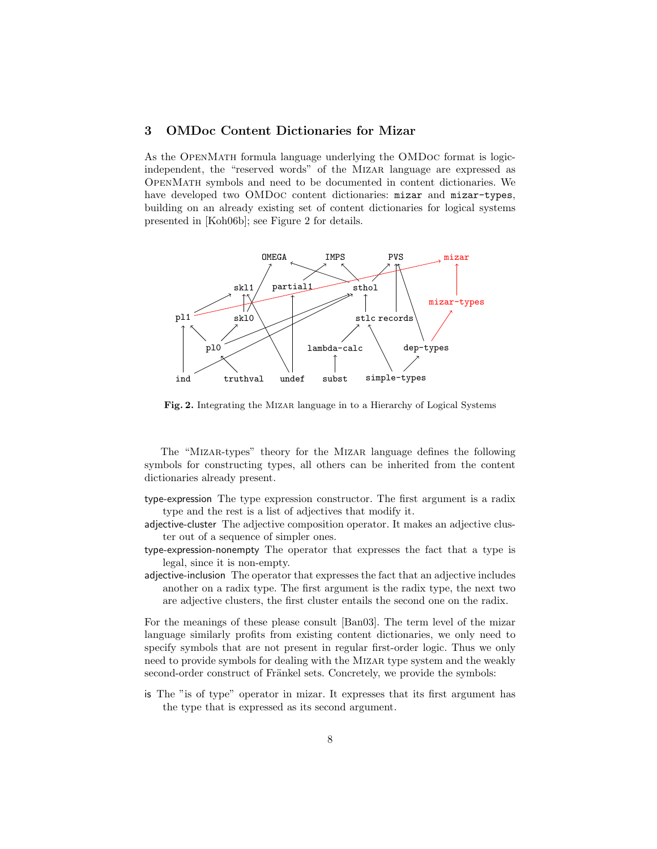# 3 OMDoc Content Dictionaries for Mizar

As the OpenMath formula language underlying the OMDoc format is logicindependent, the "reserved words" of the Mizar language are expressed as OpenMath symbols and need to be documented in content dictionaries. We have developed two OMDoc content dictionaries: mizar and mizar-types, building on an already existing set of content dictionaries for logical systems presented in [Koh06b]; see Figure 2 for details.



Fig. 2. Integrating the MIZAR language in to a Hierarchy of Logical Systems

The "Mizar-types" theory for the Mizar language defines the following symbols for constructing types, all others can be inherited from the content dictionaries already present.

- type-expression The type expression constructor. The first argument is a radix type and the rest is a list of adjectives that modify it.
- adjective-cluster The adjective composition operator. It makes an adjective cluster out of a sequence of simpler ones.
- type-expression-nonempty The operator that expresses the fact that a type is legal, since it is non-empty.
- adjective-inclusion The operator that expresses the fact that an adjective includes another on a radix type. The first argument is the radix type, the next two are adjective clusters, the first cluster entails the second one on the radix.

For the meanings of these please consult [Ban03]. The term level of the mizar language similarly profits from existing content dictionaries, we only need to specify symbols that are not present in regular first-order logic. Thus we only need to provide symbols for dealing with the Mizar type system and the weakly second-order construct of Fränkel sets. Concretely, we provide the symbols:

is The "is of type" operator in mizar. It expresses that its first argument has the type that is expressed as its second argument.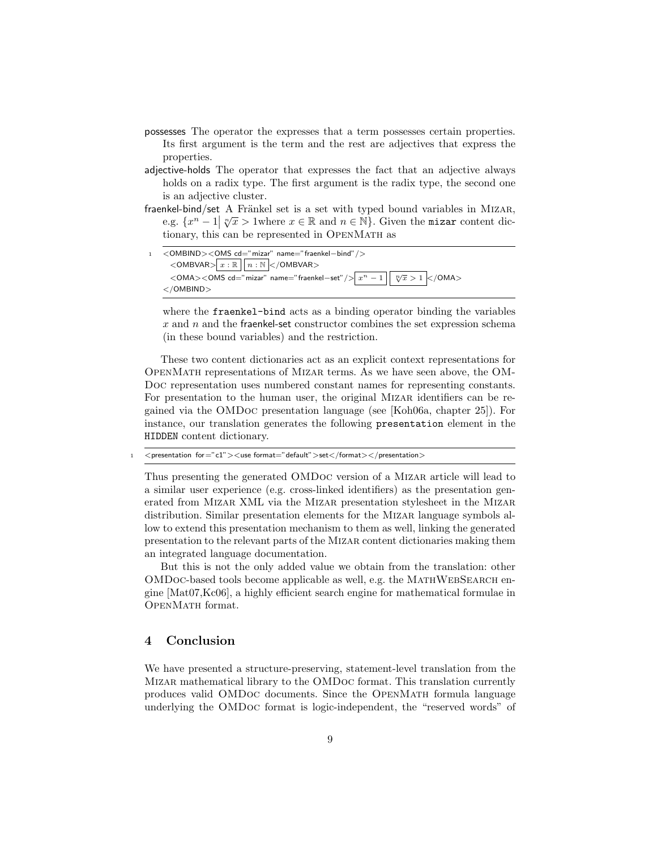- possesses The operator the expresses that a term possesses certain properties. Its first argument is the term and the rest are adjectives that express the properties.
- adjective-holds The operator that expresses the fact that an adjective always holds on a radix type. The first argument is the radix type, the second one is an adjective cluster.
- fraenkel-bind/set A Fränkel set is a set with typed bound variables in MIZAR, Exercised A Franker set is a set with typed bound variables in MIZAR,<br>e.g.  $\{x^n - 1 | \sqrt[n]{x} > 1 \text{where } x \in \mathbb{R} \text{ and } n \in \mathbb{N}\}.$  Given the mizar content dictionary, this can be represented in OpenMath as
- 1 <OMBIND><OMS cd="mizar" name="fraenkel−bind"/>  $\langle$ OMBVAR $> x : \mathbb{R}$   $\sqrt{n : \mathbb{N}}$  $\langle$ /OMBVAR $>$  $<$ OMA $>$  $<$ OMS cd $=$ " mizar"  $\,$ name $=$ " fraenkel $-$ set"  $/$  $>$   $\,mid x^n-1 \mid$  $\sqrt[n]{x} > 1$  </OMA> </OMBIND>

where the fraenkel-bind acts as a binding operator binding the variables  $x$  and  $n$  and the fraenkel-set constructor combines the set expression schema (in these bound variables) and the restriction.

These two content dictionaries act as an explicit context representations for OpenMath representations of Mizar terms. As we have seen above, the OM-Doc representation uses numbered constant names for representing constants. For presentation to the human user, the original MIZAR identifiers can be regained via the OMDoc presentation language (see [Koh06a, chapter 25]). For instance, our translation generates the following presentation element in the HIDDEN content dictionary.

 $\langle$  presentation for="c1"> $\langle$ use format="default">set $\langle$  format> $\langle$ /presentation>

Thus presenting the generated OMDoc version of a Mizar article will lead to a similar user experience (e.g. cross-linked identifiers) as the presentation generated from Mizar XML via the Mizar presentation stylesheet in the Mizar distribution. Similar presentation elements for the Mizar language symbols allow to extend this presentation mechanism to them as well, linking the generated presentation to the relevant parts of the Mizar content dictionaries making them an integrated language documentation.

But this is not the only added value we obtain from the translation: other OMDoc-based tools become applicable as well, e.g. the MathWebSearch engine [Mat07,Kc06], a highly efficient search engine for mathematical formulae in OpenMath format.

### 4 Conclusion

We have presented a structure-preserving, statement-level translation from the Mizar mathematical library to the OMDoc format. This translation currently produces valid OMDoc documents. Since the OpenMath formula language underlying the OMDoc format is logic-independent, the "reserved words" of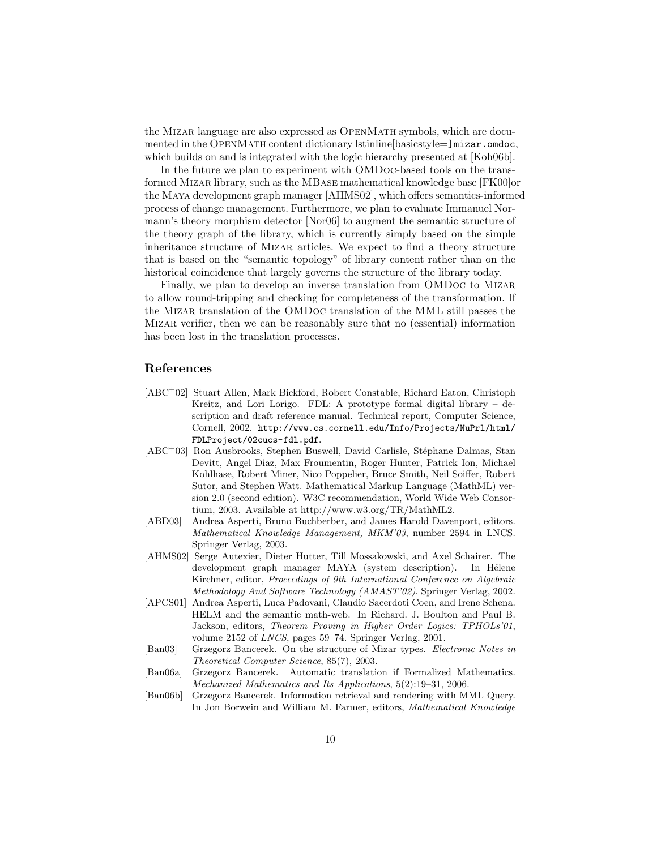the Mizar language are also expressed as OpenMath symbols, which are documented in the OPENMATH content dictionary lstinline [basicstyle=]mizar.omdoc, which builds on and is integrated with the logic hierarchy presented at [Koh06b].

In the future we plan to experiment with OMDoc-based tools on the transformed Mizar library, such as the MBase mathematical knowledge base [FK00]or the Maya development graph manager [AHMS02], which offers semantics-informed process of change management. Furthermore, we plan to evaluate Immanuel Normann's theory morphism detector [Nor06] to augment the semantic structure of the theory graph of the library, which is currently simply based on the simple inheritance structure of Mizar articles. We expect to find a theory structure that is based on the "semantic topology" of library content rather than on the historical coincidence that largely governs the structure of the library today.

Finally, we plan to develop an inverse translation from OMDoc to Mizar to allow round-tripping and checking for completeness of the transformation. If the Mizar translation of the OMDoc translation of the MML still passes the Mizar verifier, then we can be reasonably sure that no (essential) information has been lost in the translation processes.

## References

- [ABC<sup>+</sup>02] Stuart Allen, Mark Bickford, Robert Constable, Richard Eaton, Christoph Kreitz, and Lori Lorigo. FDL: A prototype formal digital library  $-$  description and draft reference manual. Technical report, Computer Science, Cornell, 2002. http://www.cs.cornell.edu/Info/Projects/NuPrl/html/ FDLProject/02cucs-fdl.pdf.
- [ABC<sup>+</sup>03] Ron Ausbrooks, Stephen Buswell, David Carlisle, Stéphane Dalmas, Stan Devitt, Angel Diaz, Max Froumentin, Roger Hunter, Patrick Ion, Michael Kohlhase, Robert Miner, Nico Poppelier, Bruce Smith, Neil Soiffer, Robert Sutor, and Stephen Watt. Mathematical Markup Language (MathML) version 2.0 (second edition). W3C recommendation, World Wide Web Consortium, 2003. Available at http://www.w3.org/TR/MathML2.
- [ABD03] Andrea Asperti, Bruno Buchberber, and James Harold Davenport, editors. Mathematical Knowledge Management, MKM'03, number 2594 in LNCS. Springer Verlag, 2003.
- [AHMS02] Serge Autexier, Dieter Hutter, Till Mossakowski, and Axel Schairer. The development graph manager MAYA (system description). In Hélene Kirchner, editor, Proceedings of 9th International Conference on Algebraic Methodology And Software Technology (AMAST'02). Springer Verlag, 2002.
- [APCS01] Andrea Asperti, Luca Padovani, Claudio Sacerdoti Coen, and Irene Schena. HELM and the semantic math-web. In Richard. J. Boulton and Paul B. Jackson, editors, Theorem Proving in Higher Order Logics: TPHOLs'01, volume 2152 of LNCS, pages 59–74. Springer Verlag, 2001.
- [Ban03] Grzegorz Bancerek. On the structure of Mizar types. Electronic Notes in Theoretical Computer Science, 85(7), 2003.
- [Ban06a] Grzegorz Bancerek. Automatic translation if Formalized Mathematics. Mechanized Mathematics and Its Applications, 5(2):19–31, 2006.
- [Ban06b] Grzegorz Bancerek. Information retrieval and rendering with MML Query. In Jon Borwein and William M. Farmer, editors, Mathematical Knowledge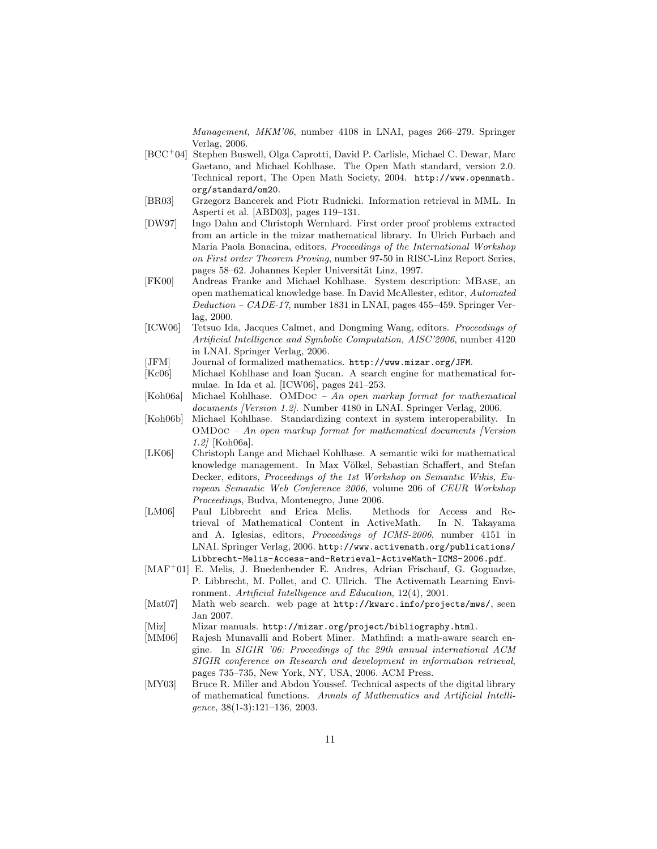Management, MKM'06, number 4108 in LNAI, pages 266–279. Springer Verlag, 2006.

- [BCC<sup>+</sup>04] Stephen Buswell, Olga Caprotti, David P. Carlisle, Michael C. Dewar, Marc Gaetano, and Michael Kohlhase. The Open Math standard, version 2.0. Technical report, The Open Math Society, 2004. http://www.openmath. org/standard/om20.
- [BR03] Grzegorz Bancerek and Piotr Rudnicki. Information retrieval in MML. In Asperti et al. [ABD03], pages 119–131.
- [DW97] Ingo Dahn and Christoph Wernhard. First order proof problems extracted from an article in the mizar mathematical library. In Ulrich Furbach and Maria Paola Bonacina, editors, Proceedings of the International Workshop on First order Theorem Proving, number 97-50 in RISC-Linz Report Series, pages 58–62. Johannes Kepler Universität Linz, 1997.
- [FK00] Andreas Franke and Michael Kohlhase. System description: MBase, an open mathematical knowledge base. In David McAllester, editor, Automated Deduction – CADE-17, number 1831 in LNAI, pages 455–459. Springer Verlag, 2000.
- [ICW06] Tetsuo Ida, Jacques Calmet, and Dongming Wang, editors. Proceedings of Artificial Intelligence and Symbolic Computation, AISC'2006, number 4120 in LNAI. Springer Verlag, 2006.
- [JFM] Journal of formalized mathematics. http://www.mizar.org/JFM.
- [Kc06] Michael Kohlhase and Ioan Sucan. A search engine for mathematical formulae. In Ida et al. [ICW06], pages 241–253.
- [Koh06a] Michael Kohlhase. OMDoc An open markup format for mathematical documents [Version 1.2]. Number 4180 in LNAI. Springer Verlag, 2006.
- [Koh06b] Michael Kohlhase. Standardizing context in system interoperability. In OMDoc – An open markup format for mathematical documents [Version 1.2] [Koh06a].
- [LK06] Christoph Lange and Michael Kohlhase. A semantic wiki for mathematical knowledge management. In Max Völkel, Sebastian Schaffert, and Stefan Decker, editors, Proceedings of the 1st Workshop on Semantic Wikis, European Semantic Web Conference 2006, volume 206 of CEUR Workshop Proceedings, Budva, Montenegro, June 2006.
- [LM06] Paul Libbrecht and Erica Melis. Methods for Access and Retrieval of Mathematical Content in ActiveMath. In N. Takayama and A. Iglesias, editors, Proceedings of ICMS-2006, number 4151 in LNAI. Springer Verlag, 2006. http://www.activemath.org/publications/ Libbrecht-Melis-Access-and-Retrieval-ActiveMath-ICMS-2006.pdf.
- [MAF<sup>+</sup>01] E. Melis, J. Buedenbender E. Andres, Adrian Frischauf, G. Goguadze, P. Libbrecht, M. Pollet, and C. Ullrich. The Activemath Learning Environment. Artificial Intelligence and Education, 12(4), 2001.
- [Mat07] Math web search. web page at http://kwarc.info/projects/mws/, seen Jan 2007.
- [Miz] Mizar manuals. http://mizar.org/project/bibliography.html.
- [MM06] Rajesh Munavalli and Robert Miner. Mathfind: a math-aware search engine. In SIGIR '06: Proceedings of the 29th annual international ACM SIGIR conference on Research and development in information retrieval, pages 735–735, New York, NY, USA, 2006. ACM Press.
- [MY03] Bruce R. Miller and Abdou Youssef. Technical aspects of the digital library of mathematical functions. Annals of Mathematics and Artificial Intelligence, 38(1-3):121–136, 2003.